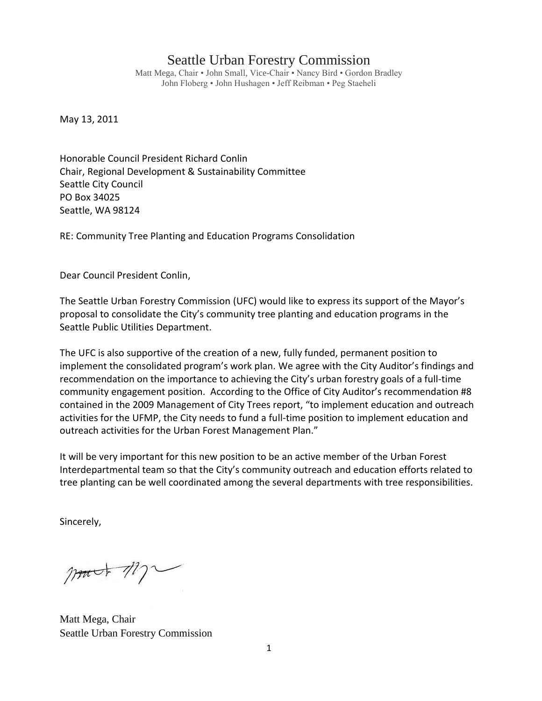## Seattle Urban Forestry Commission

Matt Mega, Chair • John Small, Vice-Chair • Nancy Bird • Gordon Bradley John Floberg • John Hushagen • Jeff Reibman • Peg Staeheli

May 13, 2011

Honorable Council President Richard Conlin Chair, Regional Development & Sustainability Committee Seattle City Council PO Box 34025 Seattle, WA 98124

RE: Community Tree Planting and Education Programs Consolidation

Dear Council President Conlin,

The Seattle Urban Forestry Commission (UFC) would like to express its support of the Mayor's proposal to consolidate the City's community tree planting and education programs in the Seattle Public Utilities Department.

The UFC is also supportive of the creation of a new, fully funded, permanent position to implement the consolidated program's work plan. We agree with the City Auditor's findings and recommendation on the importance to achieving the City's urban forestry goals of a full-time community engagement position. According to the Office of City Auditor's recommendation #8 contained in the 2009 Management of City Trees report, "to implement education and outreach activities for the UFMP, the City needs to fund a full-time position to implement education and outreach activities for the Urban Forest Management Plan."

It will be very important for this new position to be an active member of the Urban Forest Interdepartmental team so that the City's community outreach and education efforts related to tree planting can be well coordinated among the several departments with tree responsibilities.

Sincerely,

 $\eta$ 

Matt Mega, Chair Seattle Urban Forestry Commission